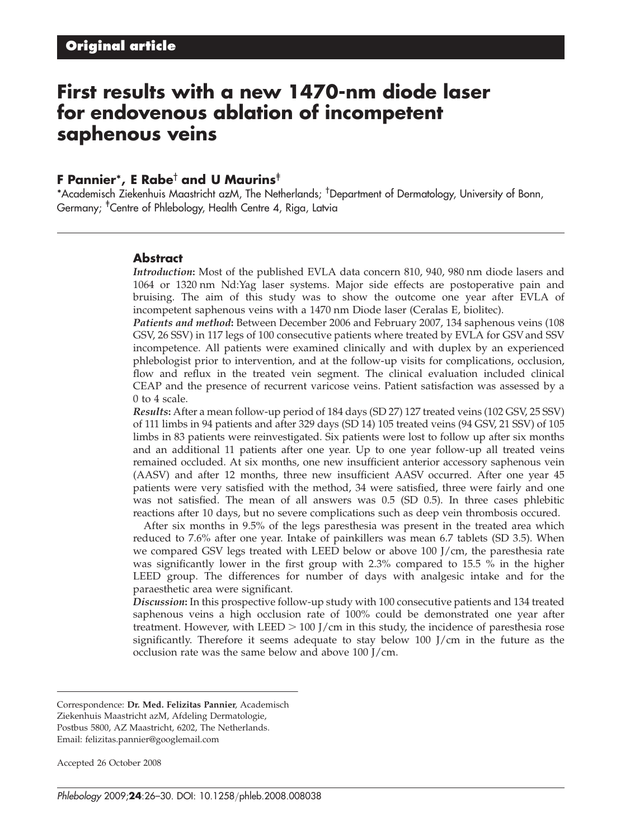# First results with a new 1470-nm diode laser for endovenous ablation of incompetent saphenous veins

#### F Pannier\*, E Rabe<sup>†</sup> and U Maurins<sup>‡</sup>

\*Academisch Ziekenhuis Maastricht azM, The Netherlands; †Department of Dermatology, University of Bonn, Germany; <sup>†</sup>Centre of Phlebology, Health Centre 4, Riga, Latvia

#### **Abstract**

Introduction: Most of the published EVLA data concern 810, 940, 980 nm diode lasers and 1064 or 1320 nm Nd:Yag laser systems. Major side effects are postoperative pain and bruising. The aim of this study was to show the outcome one year after EVLA of incompetent saphenous veins with a 1470 nm Diode laser (Ceralas E, biolitec).

Patients and method: Between December 2006 and February 2007, 134 saphenous veins (108 GSV, 26 SSV) in 117 legs of 100 consecutive patients where treated by EVLA for GSV and SSV incompetence. All patients were examined clinically and with duplex by an experienced phlebologist prior to intervention, and at the follow-up visits for complications, occlusion, flow and reflux in the treated vein segment. The clinical evaluation included clinical CEAP and the presence of recurrent varicose veins. Patient satisfaction was assessed by a 0 to 4 scale.

Results: After a mean follow-up period of 184 days (SD 27) 127 treated veins (102 GSV, 25 SSV) of 111 limbs in 94 patients and after 329 days (SD 14) 105 treated veins (94 GSV, 21 SSV) of 105 limbs in 83 patients were reinvestigated. Six patients were lost to follow up after six months and an additional 11 patients after one year. Up to one year follow-up all treated veins remained occluded. At six months, one new insufficient anterior accessory saphenous vein (AASV) and after 12 months, three new insufficient AASV occurred. After one year 45 patients were very satisfied with the method, 34 were satisfied, three were fairly and one was not satisfied. The mean of all answers was 0.5 (SD 0.5). In three cases phlebitic reactions after 10 days, but no severe complications such as deep vein thrombosis occured.

After six months in 9.5% of the legs paresthesia was present in the treated area which reduced to 7.6% after one year. Intake of painkillers was mean 6.7 tablets (SD 3.5). When we compared GSV legs treated with LEED below or above 100 J/cm, the paresthesia rate was significantly lower in the first group with 2.3% compared to 15.5 % in the higher LEED group. The differences for number of days with analgesic intake and for the paraesthetic area were significant.

Discussion: In this prospective follow-up study with 100 consecutive patients and 134 treated saphenous veins a high occlusion rate of 100% could be demonstrated one year after treatment. However, with LEED  $> 100$  J/cm in this study, the incidence of paresthesia rose significantly. Therefore it seems adequate to stay below 100 J/cm in the future as the occlusion rate was the same below and above 100 J/cm.

Accepted 26 October 2008

Correspondence: Dr. Med. Felizitas Pannier, Academisch Ziekenhuis Maastricht azM, Afdeling Dermatologie, Postbus 5800, AZ Maastricht, 6202, The Netherlands. Email: felizitas.pannier@googlemail.com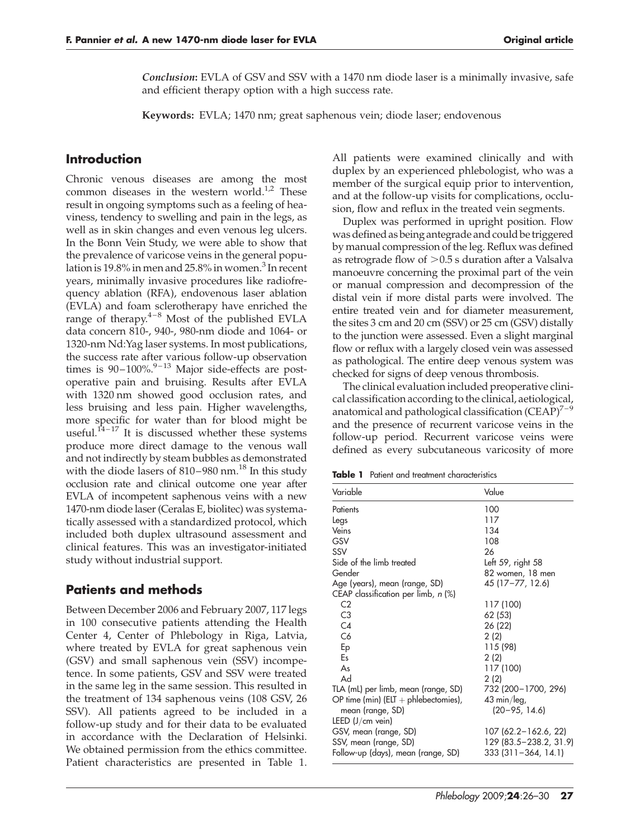Conclusion: EVLA of GSV and SSV with a 1470 nm diode laser is a minimally invasive, safe and efficient therapy option with a high success rate.

Keywords: EVLA; 1470 nm; great saphenous vein; diode laser; endovenous

#### Introduction

Chronic venous diseases are among the most common diseases in the western world. $1/2$  These result in ongoing symptoms such as a feeling of heaviness, tendency to swelling and pain in the legs, as well as in skin changes and even venous leg ulcers. In the Bonn Vein Study, we were able to show that the prevalence of varicose veins in the general population is 19.8% in men and 25.8% in women.<sup>3</sup> In recent years, minimally invasive procedures like radiofrequency ablation (RFA), endovenous laser ablation (EVLA) and foam sclerotherapy have enriched the range of therapy. $4-8$  Most of the published EVLA data concern 810-, 940-, 980-nm diode and 1064- or 1320-nm Nd:Yag laser systems. In most publications, the success rate after various follow-up observation times is  $90-100\%$ <sup>9-13</sup> Major side-effects are postoperative pain and bruising. Results after EVLA with 1320 nm showed good occlusion rates, and less bruising and less pain. Higher wavelengths, more specific for water than for blood might be useful.<sup> $14-17$ </sup> It is discussed whether these systems produce more direct damage to the venous wall and not indirectly by steam bubbles as demonstrated with the diode lasers of  $810-980$  nm.<sup>18</sup> In this study occlusion rate and clinical outcome one year after EVLA of incompetent saphenous veins with a new 1470-nm diode laser (Ceralas E, biolitec) was systematically assessed with a standardized protocol, which included both duplex ultrasound assessment and clinical features. This was an investigator-initiated study without industrial support.

## Patients and methods

Between December 2006 and February 2007, 117 legs in 100 consecutive patients attending the Health Center 4, Center of Phlebology in Riga, Latvia, where treated by EVLA for great saphenous vein (GSV) and small saphenous vein (SSV) incompetence. In some patients, GSV and SSV were treated in the same leg in the same session. This resulted in the treatment of 134 saphenous veins (108 GSV, 26 SSV). All patients agreed to be included in a follow-up study and for their data to be evaluated in accordance with the Declaration of Helsinki. We obtained permission from the ethics committee. Patient characteristics are presented in Table 1. All patients were examined clinically and with duplex by an experienced phlebologist, who was a member of the surgical equip prior to intervention, and at the follow-up visits for complications, occlusion, flow and reflux in the treated vein segments.

Duplex was performed in upright position. Flow was defined as being antegrade and could be triggered by manual compression of the leg. Reflux was defined as retrograde flow of  $>0.5$  s duration after a Valsalva manoeuvre concerning the proximal part of the vein or manual compression and decompression of the distal vein if more distal parts were involved. The entire treated vein and for diameter measurement, the sites 3 cm and 20 cm (SSV) or 25 cm (GSV) distally to the junction were assessed. Even a slight marginal flow or reflux with a largely closed vein was assessed as pathological. The entire deep venous system was checked for signs of deep venous thrombosis.

The clinical evaluation included preoperative clinical classification according to the clinical, aetiological, anatomical and pathological classification  $(CEAP)^{7-9}$ and the presence of recurrent varicose veins in the follow-up period. Recurrent varicose veins were defined as every subcutaneous varicosity of more

|  |  |  | <b>Table 1</b> Patient and treatment characteristics |
|--|--|--|------------------------------------------------------|
|--|--|--|------------------------------------------------------|

| Variable                              | Value                  |  |  |
|---------------------------------------|------------------------|--|--|
| Patients                              | 100                    |  |  |
| Legs                                  | 117                    |  |  |
| Veins                                 | 134                    |  |  |
| GSV                                   | 108                    |  |  |
| SSV                                   | 26                     |  |  |
| Side of the limb treated              | Left 59, right 58      |  |  |
| Gender                                | 82 women, 18 men       |  |  |
| Age (years), mean (range, SD)         | 45 (17–77, 12.6)       |  |  |
| CEAP classification per limb, $n$ (%) |                        |  |  |
| C <sub>2</sub>                        | 117 (100)              |  |  |
| C <sub>3</sub>                        | 62 (53)                |  |  |
| C4                                    | 26 (22)                |  |  |
| C6                                    | 2(2)                   |  |  |
| Ep                                    | 115 (98)               |  |  |
| Es                                    | 2(2)                   |  |  |
| As                                    | 117 (100)              |  |  |
| Ad                                    | 2(2)                   |  |  |
| TLA (mL) per limb, mean (range, SD)   | 732 (200-1700, 296)    |  |  |
| OP time (min) (ELT + phlebectomies),  | $43 \text{ min/leg}$ , |  |  |
| mean (range, SD)                      | $(20 - 95, 14.6)$      |  |  |
| LEED $(J/cm$ vein)                    |                        |  |  |
| GSV, mean (range, SD)                 | 107 (62.2-162.6, 22)   |  |  |
| SSV, mean (range, SD)                 | 129 (83.5–238.2, 31.9) |  |  |
| Follow-up (days), mean (range, SD)    | 333 (311-364, 14.1)    |  |  |
|                                       |                        |  |  |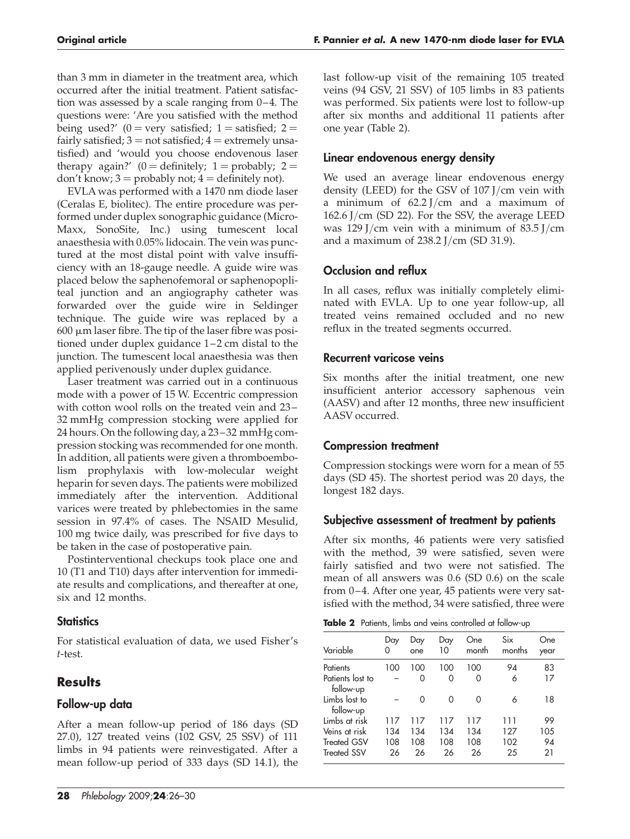than 3 mm in diameter in the treatment area, which occurred after the initial treatment. Patient satisfaction was assessed by a scale ranging from 0–4. The questions were: 'Are you satisfied with the method being used?' (0 = very satisfied; 1 = satisfied; 2 = fairly satisfied;  $3 = not$  satisfied;  $4 =$  extremely unsatisfied) and 'would you choose endovenous laser therapy again?' (0 = definitely; 1 = probably; 2 = don't know;  $3 =$  probably not;  $4 =$  definitely not).

EVLA was performed with a 1470 nm diode laser (Ceralas E, biolitec). The entire procedure was performed under duplex sonographic guidance (Micro-Maxx, SonoSite, Inc.) using tumescent local anaesthesia with 0.05% lidocain. The vein was punctured at the most distal point with valve insufficiency with an 18-gauge needle. A guide wire was placed below the saphenofemoral or saphenopopliteal junction and an angiography catheter was forwarded over the guide wire in Seldinger technique. The guide wire was replaced by a  $600 \mu m$  laser fibre. The tip of the laser fibre was positioned under duplex guidance 1-2 cm distal to the junction. The tumescent local anaesthesia was then applied perivenously under duplex guidance.

Laser treatment was carried out in a continuous mode with a power of 15 W. Eccentric compression with cotton wool rolls on the treated vein and 23-32 mmHg compression stocking were applied for 24 hours. On the following day, a 23– 32 mmHg compression stocking was recommended for one month. In addition, all patients were given a thromboembolism prophylaxis with low-molecular weight heparin for seven days. The patients were mobilized immediately after the intervention. Additional varices were treated by phlebectomies in the same session in 97.4% of cases. The NSAID Mesulid, 100 mg twice daily, was prescribed for five days to be taken in the case of postoperative pain.

Postinterventional checkups took place one and 10 (T1 and T10) days after intervention for immediate results and complications, and thereafter at one, six and 12 months.

## **Statistics**

For statistical evaluation of data, we used Fisher's t-test.

# **Results**

## Follow-up data

After a mean follow-up period of 186 days (SD 27.0), 127 treated veins (102 GSV, 25 SSV) of 111 limbs in 94 patients were reinvestigated. After a mean follow-up period of 333 days (SD 14.1), the last follow-up visit of the remaining 105 treated veins (94 GSV, 21 SSV) of 105 limbs in 83 patients was performed. Six patients were lost to follow-up after six months and additional 11 patients after one year (Table 2).

## Linear endovenous energy density

We used an average linear endovenous energy density (LEED) for the GSV of 107 J/cm vein with a minimum of 62.2 J/cm and a maximum of 162.6 J/cm (SD 22). For the SSV, the average LEED was 129 J/cm vein with a minimum of 83.5 J/cm and a maximum of 238.2 J/cm (SD 31.9).

# Occlusion and reflux

In all cases, reflux was initially completely eliminated with EVLA. Up to one year follow-up, all treated veins remained occluded and no new reflux in the treated segments occurred.

#### Recurrent varicose veins

Six months after the initial treatment, one new insufficient anterior accessory saphenous vein (AASV) and after 12 months, three new insufficient AASV occurred.

## Compression treatment

Compression stockings were worn for a mean of 55 days (SD 45). The shortest period was 20 days, the longest 182 days.

## Subjective assessment of treatment by patients

After six months, 46 patients were very satisfied with the method, 39 were satisfied, seven were fairly satisfied and two were not satisfied. The mean of all answers was 0.6 (SD 0.6) on the scale from 0-4. After one year, 45 patients were very satisfied with the method, 34 were satisfied, three were

Table 2 Patients, limbs and veins controlled at follow-up

| Variable                      | Day<br>0 | Day<br>one | Day<br>10 | One<br>month | Six<br>months | One<br>year |
|-------------------------------|----------|------------|-----------|--------------|---------------|-------------|
| Patients                      | 100      | 100        | 100       | 100          | 94            | 83          |
| Patients lost to<br>follow-up |          | 0          | 0         | 0            | 6             | 17          |
| Limbs lost to<br>follow-up    |          | $\Omega$   | ∩         | 0            | 6             | 18          |
| Limbs at risk                 | 117      | 117        | 117       | 117          | 111           | 99          |
| Veins at risk                 | 134      | 134        | 134       | 134          | 127           | 105         |
| <b>Treated GSV</b>            | 108      | 108        | 108       | 108          | 102           | 94          |
| <b>Treated SSV</b>            | 26       | 26         | 26        | 26           | 25            | 21          |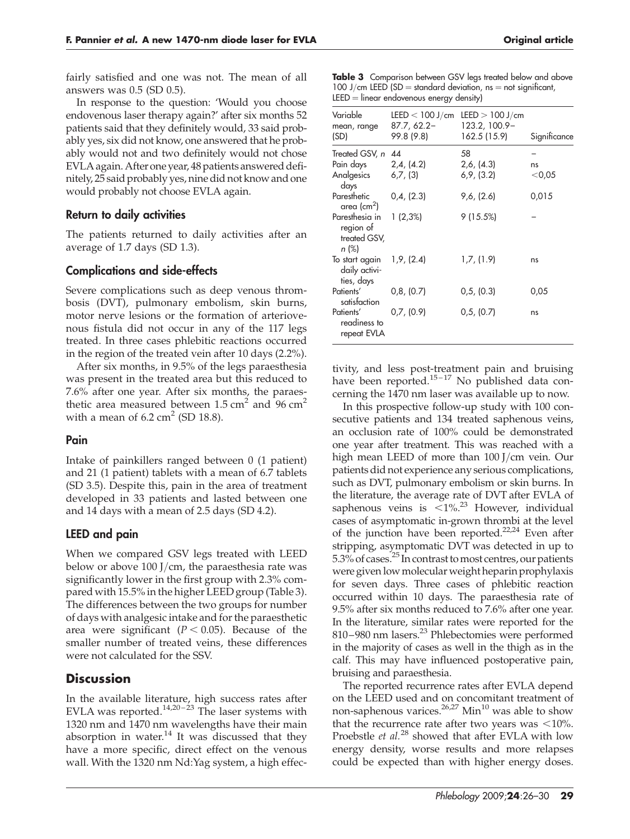fairly satisfied and one was not. The mean of all answers was 0.5 (SD 0.5).

In response to the question: 'Would you choose endovenous laser therapy again?' after six months 52 patients said that they definitely would, 33 said probably yes, six did not know, one answered that he probably would not and two definitely would not chose EVLA again. After one year, 48 patients answered definitely, 25 said probably yes, nine did not know and one would probably not choose EVLA again.

#### Return to daily activities

The patients returned to daily activities after an average of 1.7 days (SD 1.3).

#### Complications and side-effects

Severe complications such as deep venous thrombosis (DVT), pulmonary embolism, skin burns, motor nerve lesions or the formation of arteriovenous fistula did not occur in any of the 117 legs treated. In three cases phlebitic reactions occurred in the region of the treated vein after 10 days (2.2%).

After six months, in 9.5% of the legs paraesthesia was present in the treated area but this reduced to 7.6% after one year. After six months, the paraesthetic area measured between  $1.5 \text{ cm}^2$  and  $96 \text{ cm}^2$ with a mean of  $6.2 \text{ cm}^2$  (SD 18.8).

#### Pain

Intake of painkillers ranged between 0 (1 patient) and 21 (1 patient) tablets with a mean of 6.7 tablets (SD 3.5). Despite this, pain in the area of treatment developed in 33 patients and lasted between one and 14 days with a mean of 2.5 days (SD 4.2).

## LEED and pain

When we compared GSV legs treated with LEED below or above 100 J/cm, the paraesthesia rate was significantly lower in the first group with 2.3% compared with 15.5% in the higher LEED group (Table 3). The differences between the two groups for number of days with analgesic intake and for the paraesthetic area were significant ( $P < 0.05$ ). Because of the smaller number of treated veins, these differences were not calculated for the SSV.

# **Discussion**

In the available literature, high success rates after EVLA was reported.<sup>14,20-23</sup> The laser systems with 1320 nm and 1470 nm wavelengths have their main absorption in water. $14$  It was discussed that they have a more specific, direct effect on the venous wall. With the 1320 nm Nd:Yag system, a high effec-

Table 3 Comparison between GSV legs treated below and above 100 J/cm LEED (SD = standard deviation,  $ns = not$  significant,  $LEED = linear endovenous energy density)$ 

| 87.7, 62.2-<br>99.8 (9.8)      | 123.2, 100.9-<br>162.5 (15.9) | Significance                        |
|--------------------------------|-------------------------------|-------------------------------------|
| Treated GSV, n 44              | 58                            |                                     |
|                                | 2,6, (4.3)                    | ns                                  |
| Analgesics 6,7, (3)            | 6,9, (3.2)                    | $<$ 0,05                            |
| 0,4, (2.3)                     | 9,6, (2.6)                    | 0,015                               |
| $1(2,3\%)$                     | 9(15.5%)                      |                                     |
| To start again $1,9$ , $(2.4)$ | 1,7, (1.9)                    | ns                                  |
| 0,8, (0.7)                     | 0,5, (0.3)                    | 0,05                                |
| 0.7, (0.9)                     | 0,5, (0.7)                    | ns                                  |
|                                | Pain days 2,4, (4.2)          | LEED $< 100$ J/cm LEED $> 100$ J/cm |

tivity, and less post-treatment pain and bruising have been reported.<sup>15-17</sup> No published data concerning the 1470 nm laser was available up to now.

In this prospective follow-up study with 100 consecutive patients and 134 treated saphenous veins, an occlusion rate of 100% could be demonstrated one year after treatment. This was reached with a high mean LEED of more than 100 J/cm vein. Our patients did not experience any serious complications, such as DVT, pulmonary embolism or skin burns. In the literature, the average rate of DVT after EVLA of saphenous veins is  $\leq 1\%$ .<sup>23</sup> However, individual cases of asymptomatic in-grown thrombi at the level of the junction have been reported. $22,24$  Even after stripping, asymptomatic DVT was detected in up to 5.3% of cases.<sup>25</sup> In contrast to most centres, our patients were given lowmolecular weight heparin prophylaxis for seven days. Three cases of phlebitic reaction occurred within 10 days. The paraesthesia rate of 9.5% after six months reduced to 7.6% after one year. In the literature, similar rates were reported for the 810–980 nm lasers.<sup>23</sup> Phlebectomies were performed in the majority of cases as well in the thigh as in the calf. This may have influenced postoperative pain, bruising and paraesthesia.

The reported recurrence rates after EVLA depend on the LEED used and on concomitant treatment of non-saphenous varices.<sup>26,27</sup> Min<sup>10</sup> was able to show that the recurrence rate after two years was  $<10\%$ . Proebstle *et al.*<sup>28</sup> showed that after EVLA with low energy density, worse results and more relapses could be expected than with higher energy doses.